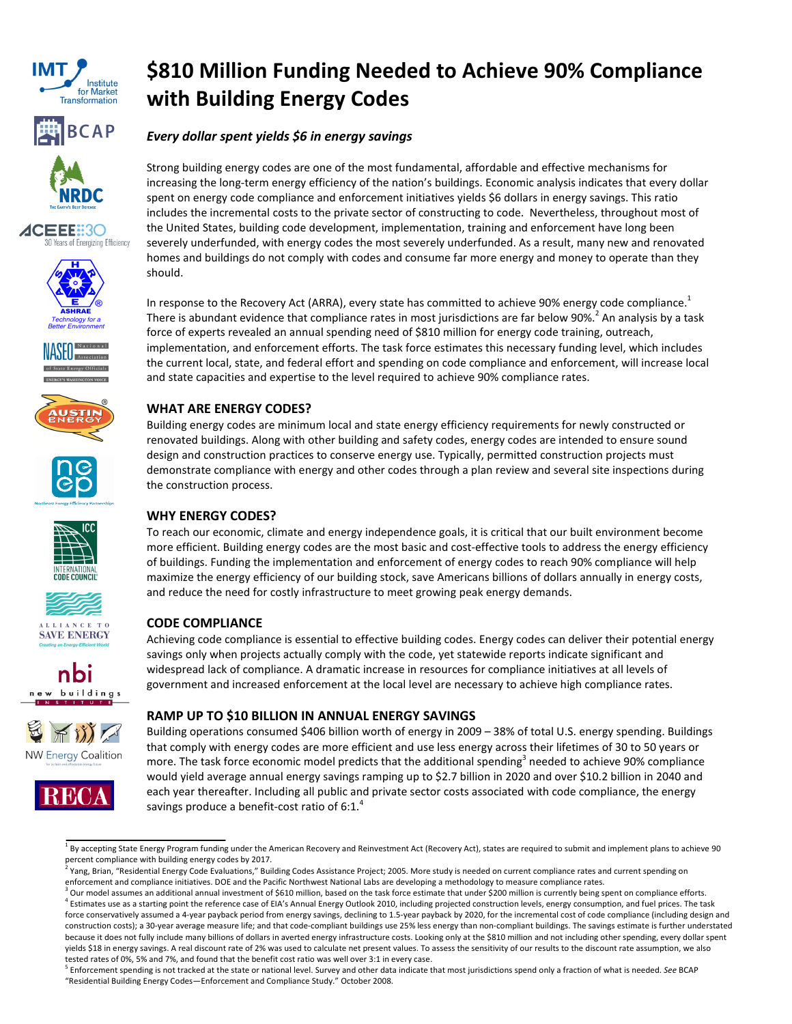



















buildings





# \$810 Million Funding Needed to Achieve 90% Compliance with Building Energy Codes

## Every dollar spent yields \$6 in energy savings

Strong building energy codes are one of the most fundamental, affordable and effective mechanisms for increasing the long-term energy efficiency of the nation's buildings. Economic analysis indicates that every dollar spent on energy code compliance and enforcement initiatives yields \$6 dollars in energy savings. This ratio includes the incremental costs to the private sector of constructing to code. Nevertheless, throughout most of the United States, building code development, implementation, training and enforcement have long been severely underfunded, with energy codes the most severely underfunded. As a result, many new and renovated homes and buildings do not comply with codes and consume far more energy and money to operate than they should.

In response to the Recovery Act (ARRA), every state has committed to achieve 90% energy code compliance.<sup>1</sup> There is abundant evidence that compliance rates in most jurisdictions are far below 90%.<sup>2</sup> An analysis by a task force of experts revealed an annual spending need of \$810 million for energy code training, outreach, implementation, and enforcement efforts. The task force estimates this necessary funding level, which includes the current local, state, and federal effort and spending on code compliance and enforcement, will increase local and state capacities and expertise to the level required to achieve 90% compliance rates.

# WHAT ARE ENERGY CODES?

Building energy codes are minimum local and state energy efficiency requirements for newly constructed or renovated buildings. Along with other building and safety codes, energy codes are intended to ensure sound design and construction practices to conserve energy use. Typically, permitted construction projects must demonstrate compliance with energy and other codes through a plan review and several site inspections during the construction process.

# WHY ENERGY CODES?

To reach our economic, climate and energy independence goals, it is critical that our built environment become more efficient. Building energy codes are the most basic and cost-effective tools to address the energy efficiency of buildings. Funding the implementation and enforcement of energy codes to reach 90% compliance will help maximize the energy efficiency of our building stock, save Americans billions of dollars annually in energy costs, and reduce the need for costly infrastructure to meet growing peak energy demands.

## CODE COMPLIANCE

Achieving code compliance is essential to effective building codes. Energy codes can deliver their potential energy savings only when projects actually comply with the code, yet statewide reports indicate significant and widespread lack of compliance. A dramatic increase in resources for compliance initiatives at all levels of government and increased enforcement at the local level are necessary to achieve high compliance rates.

## RAMP UP TO \$10 BILLION IN ANNUAL ENERGY SAVINGS

Building operations consumed \$406 billion worth of energy in 2009 – 38% of total U.S. energy spending. Buildings that comply with energy codes are more efficient and use less energy across their lifetimes of 30 to 50 years or more. The task force economic model predicts that the additional spending<sup>3</sup> needed to achieve 90% compliance would yield average annual energy savings ramping up to \$2.7 billion in 2020 and over \$10.2 billion in 2040 and each year thereafter. Including all public and private sector costs associated with code compliance, the energy savings produce a benefit-cost ratio of  $6:1.^4$ 

<sup>5</sup> Enforcement spending is not tracked at the state or national level. Survey and other data indicate that most jurisdictions spend only a fraction of what is needed. See BCAP "Residential Building Energy Codes—Enforcement and Compliance Study." October 2008.

<sup>&</sup>lt;sup>1</sup> By accepting State Energy Program funding under the American Recovery and Reinvestment Act (Recovery Act), states are required to submit and implement plans to achieve 90 percent compliance with building energy codes by 2017.<br><sup>2</sup> Vang, Brian, "Residential Energy Code Evaluations," Buil

Yang, Brian, "Residential Energy Code Evaluations," Building Codes Assistance Project; 2005. More study is needed on current compliance rates and current spending on enforcement and compliance initiatives. DOE and the Pacific Northwest National Labs are developing a methodology to measure compliance rates.

 $^3$  Our model assumes an additional annual investment of \$610 million, based on the task force estimate that under \$200 million is currently being spent on compliance efforts. <sup>4</sup> Estimates use as a starting point the reference case of EIA's Annual Energy Outlook 2010, including projected construction levels, energy consumption, and fuel prices. The task force conservatively assumed a 4-year payback period from energy savings, declining to 1.5-year payback by 2020, for the incremental cost of code compliance (including design and construction costs); a 30-year average measure life; and that code-compliant buildings use 25% less energy than non-compliant buildings. The savings estimate is further understated because it does not fully include many billions of dollars in averted energy infrastructure costs. Looking only at the \$810 million and not including other spending, every dollar spent yields \$18 in energy savings. A real discount rate of 2% was used to calculate net present values. To assess the sensitivity of our results to the discount rate assumption, we also tested rates of 0%, 5% and 7%, and found that the benefit cost ratio was well over 3:1 in every case.